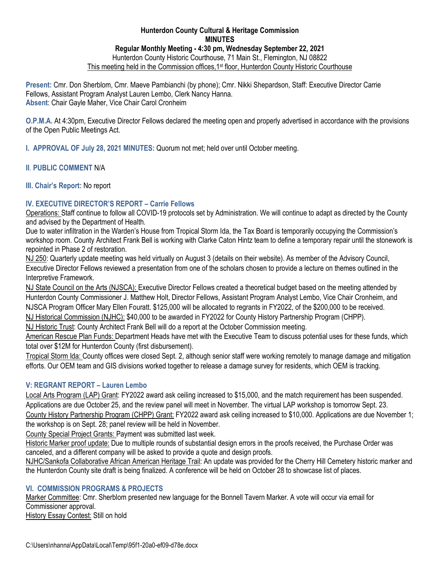### **Hunterdon County Cultural & Heritage Commission MINUTES Regular Monthly Meeting - 4:30 pm, Wednesday September 22, 2021** Hunterdon County Historic Courthouse, 71 Main St., Flemington, NJ 08822 This meeting held in the Commission offices, 1<sup>st</sup> floor, Hunterdon County Historic Courthouse

**Present:** Cmr. Don Sherblom, Cmr. Maeve Pambianchi (by phone); Cmr. Nikki Shepardson, Staff: Executive Director Carrie Fellows, Assistant Program Analyst Lauren Lembo, Clerk Nancy Hanna. **Absent**: Chair Gayle Maher, Vice Chair Carol Cronheim

**O.P.M.A.** At 4:30pm, Executive Director Fellows declared the meeting open and properly advertised in accordance with the provisions of the Open Public Meetings Act.

**I. APPROVAL OF July 28, 2021 MINUTES:** Quorum not met; held over until October meeting.

### **II**. **PUBLIC COMMENT** N/A

### **III. Chair's Report:** No report

# **IV. EXECUTIVE DIRECTOR'S REPORT – Carrie Fellows**

Operations: Staff continue to follow all COVID-19 protocols set by Administration. We will continue to adapt as directed by the County and advised by the Department of Health.

Due to water infiltration in the Warden's House from Tropical Storm Ida, the Tax Board is temporarily occupying the Commission's workshop room. County Architect Frank Bell is working with Clarke Caton Hintz team to define a temporary repair until the stonework is repointed in Phase 2 of restoration.

NJ 250: Quarterly update meeting was held virtually on August 3 (details on their website). As member of the Advisory Council, Executive Director Fellows reviewed a presentation from one of the scholars chosen to provide a lecture on themes outlined in the Interpretive Framework.

NJ State Council on the Arts (NJSCA): Executive Director Fellows created a theoretical budget based on the meeting attended by Hunterdon County Commissioner J. Matthew Holt, Director Fellows, Assistant Program Analyst Lembo, Vice Chair Cronheim, and NJSCA Program Officer Mary Ellen Fouratt. \$125,000 will be allocated to regrants in FY2022, of the \$200,000 to be received. NJ Historical Commission (NJHC): \$40,000 to be awarded in FY2022 for County History Partnership Program (CHPP).

NJ Historic Trust: County Architect Frank Bell will do a report at the October Commission meeting.

American Rescue Plan Funds: Department Heads have met with the Executive Team to discuss potential uses for these funds, which total over \$12M for Hunterdon County (first disbursement).

Tropical Storm Ida: County offices were closed Sept. 2, although senior staff were working remotely to manage damage and mitigation efforts. Our OEM team and GIS divisions worked together to release a damage survey for residents, which OEM is tracking.

## **V: REGRANT REPORT – Lauren Lembo**

Local Arts Program (LAP) Grant: FY2022 award ask ceiling increased to \$15,000, and the match requirement has been suspended. Applications are due October 25, and the review panel will meet in November. The virtual LAP workshop is tomorrow Sept. 23. County History Partnership Program (CHPP) Grant: FY2022 award ask ceiling increased to \$10,000. Applications are due November 1;

the workshop is on Sept. 28; panel review will be held in November.

County Special Project Grants: Payment was submitted last week.

Historic Marker proof update: Due to multiple rounds of substantial design errors in the proofs received, the Purchase Order was canceled, and a different company will be asked to provide a quote and design proofs.

NJHC/Sankofa Collaborative African American Heritage Trail: An update was provided for the Cherry Hill Cemetery historic marker and the Hunterdon County site draft is being finalized. A conference will be held on October 28 to showcase list of places.

## **VI. COMMISSION PROGRAMS & PROJECTS**

Marker Committee: Cmr. Sherblom presented new language for the Bonnell Tavern Marker. A vote will occur via email for Commissioner approval. **History Essay Contest: Still on hold**